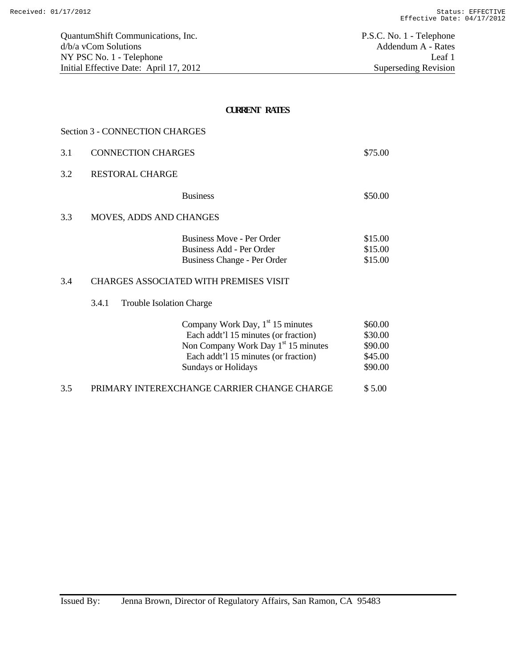| 3.1 | <b>CONNECTION CHARGES</b>      |                                                                                                                                                                                              | \$75.00                                             |
|-----|--------------------------------|----------------------------------------------------------------------------------------------------------------------------------------------------------------------------------------------|-----------------------------------------------------|
| 3.2 | <b>RESTORAL CHARGE</b>         |                                                                                                                                                                                              |                                                     |
|     |                                | <b>Business</b>                                                                                                                                                                              | \$50.00                                             |
| 3.3 | <b>MOVES, ADDS AND CHANGES</b> |                                                                                                                                                                                              |                                                     |
|     |                                | Business Move - Per Order<br>Business Add - Per Order<br>Business Change - Per Order                                                                                                         | \$15.00<br>\$15.00<br>\$15.00                       |
| 3.4 |                                | CHARGES ASSOCIATED WITH PREMISES VISIT                                                                                                                                                       |                                                     |
|     | 3.4.1                          | <b>Trouble Isolation Charge</b>                                                                                                                                                              |                                                     |
|     |                                | Company Work Day, $1st 15$ minutes<br>Each addt'l 15 minutes (or fraction)<br>Non Company Work Day 1 <sup>st</sup> 15 minutes<br>Each addt'l 15 minutes (or fraction)<br>Sundays or Holidays | \$60.00<br>\$30.00<br>\$90.00<br>\$45.00<br>\$90.00 |

3.5 PRIMARY INTEREXCHANGE CARRIER CHANGE CHARGE \$ 5.00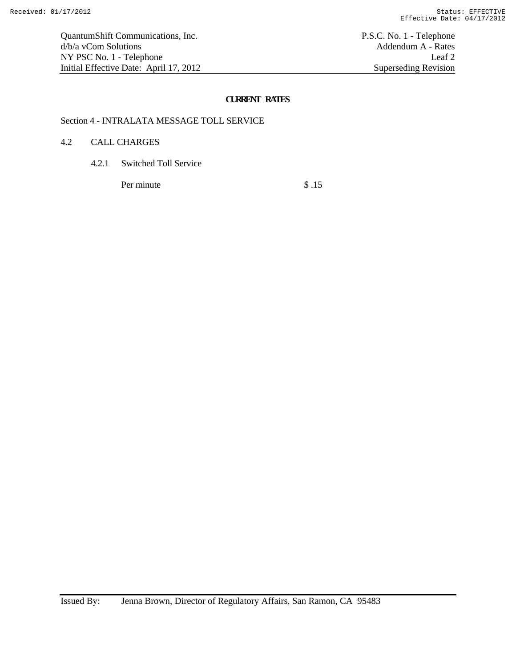# Section 4 - INTRALATA MESSAGE TOLL SERVICE

#### 4.2 CALL CHARGES

4.2.1 Switched Toll Service

Per minute \$ .15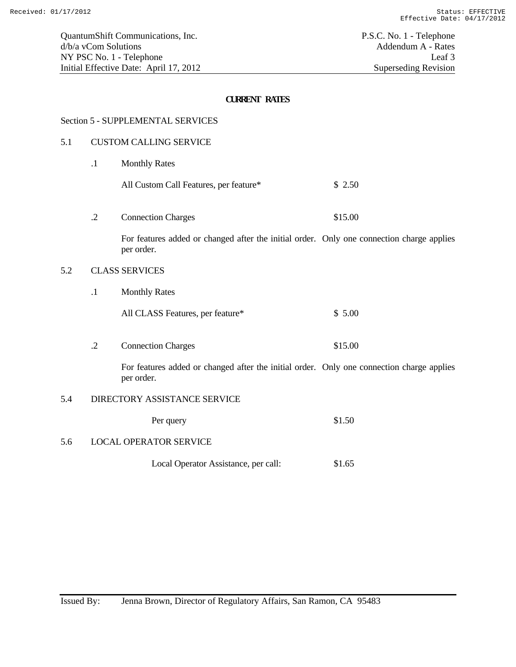#### Section 5 - SUPPLEMENTAL SERVICES

#### 5.1 CUSTOM CALLING SERVICE

- .1 Monthly Rates
	- All Custom Call Features, per feature\* \$ 2.50
- .2 Connection Charges \$15.00

For features added or changed after the initial order. Only one connection charge applies per order.

## 5.2 CLASS SERVICES

- .1 Monthly Rates
	- All CLASS Features, per feature\*  $$5.00$
- .2 Connection Charges \$15.00

For features added or changed after the initial order. Only one connection charge applies per order.

# 5.4 DIRECTORY ASSISTANCE SERVICE

| Per query | \$1.50 |
|-----------|--------|
|-----------|--------|

#### 5.6 LOCAL OPERATOR SERVICE

Local Operator Assistance, per call:  $$1.65$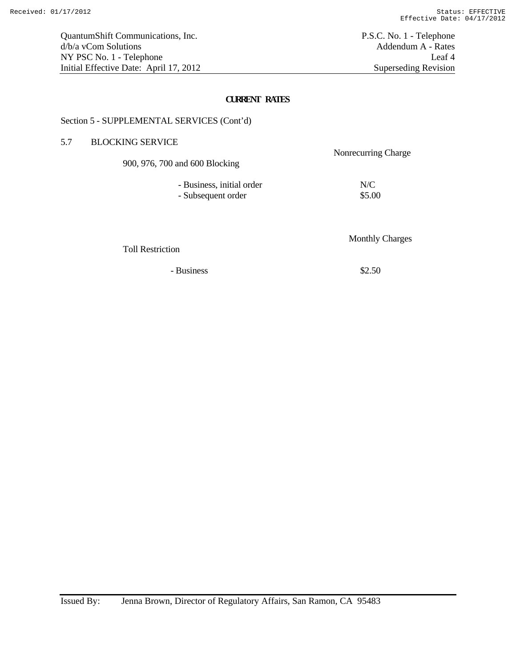## Section 5 - SUPPLEMENTAL SERVICES (Cont'd)

# 5.7 BLOCKING SERVICE

 Nonrecurring Charge 900, 976, 700 and 600 Blocking

| - Business, initial order | N/C    |
|---------------------------|--------|
| - Subsequent order        | \$5.00 |

Toll Restriction

 $-$  Business  $$2.50$ 

Monthly Charges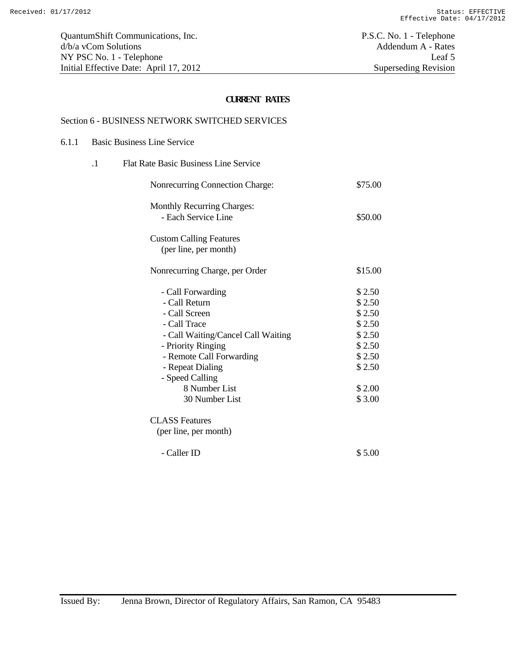# Section 6 - BUSINESS NETWORK SWITCHED SERVICES

### 6.1.1 Basic Business Line Service

| $\cdot$ 1 | <b>Flat Rate Basic Business Line Service</b>                                                                                                                                                                                          |                                                                                                  |
|-----------|---------------------------------------------------------------------------------------------------------------------------------------------------------------------------------------------------------------------------------------|--------------------------------------------------------------------------------------------------|
|           | Nonrecurring Connection Charge:                                                                                                                                                                                                       | \$75.00                                                                                          |
|           | <b>Monthly Recurring Charges:</b><br>- Each Service Line                                                                                                                                                                              | \$50.00                                                                                          |
|           | <b>Custom Calling Features</b><br>(per line, per month)                                                                                                                                                                               |                                                                                                  |
|           | Nonrecurring Charge, per Order                                                                                                                                                                                                        | \$15.00                                                                                          |
|           | - Call Forwarding<br>- Call Return<br>- Call Screen<br>- Call Trace<br>- Call Waiting/Cancel Call Waiting<br>- Priority Ringing<br>- Remote Call Forwarding<br>- Repeat Dialing<br>- Speed Calling<br>8 Number List<br>30 Number List | \$2.50<br>\$2.50<br>\$2.50<br>\$2.50<br>\$2.50<br>\$2.50<br>\$2.50<br>\$2.50<br>\$2.00<br>\$3.00 |
|           | <b>CLASS</b> Features<br>(per line, per month)                                                                                                                                                                                        |                                                                                                  |
|           | - Caller ID                                                                                                                                                                                                                           | \$5.00                                                                                           |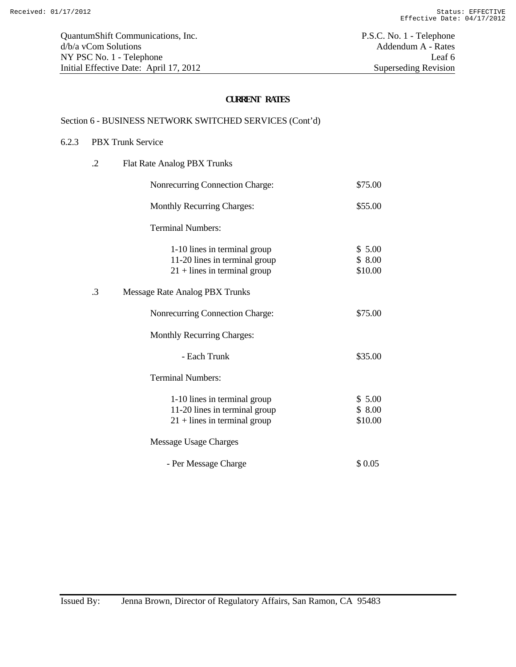# Section 6 - BUSINESS NETWORK SWITCHED SERVICES (Cont'd)

#### 6.2.3 PBX Trunk Service

| $\cdot$ .2 | Flat Rate Analog PBX Trunks                                                                     |                             |
|------------|-------------------------------------------------------------------------------------------------|-----------------------------|
|            | Nonrecurring Connection Charge:                                                                 | \$75.00                     |
|            | <b>Monthly Recurring Charges:</b>                                                               | \$55.00                     |
|            | <b>Terminal Numbers:</b>                                                                        |                             |
|            | 1-10 lines in terminal group<br>11-20 lines in terminal group<br>$21 +$ lines in terminal group | \$5.00<br>\$8.00<br>\$10.00 |
| $\cdot$ 3  | Message Rate Analog PBX Trunks                                                                  |                             |
|            | Nonrecurring Connection Charge:                                                                 | \$75.00                     |
|            | <b>Monthly Recurring Charges:</b>                                                               |                             |
|            | - Each Trunk                                                                                    | \$35.00                     |
|            | <b>Terminal Numbers:</b>                                                                        |                             |
|            | 1-10 lines in terminal group<br>11-20 lines in terminal group<br>$21 +$ lines in terminal group | \$5.00<br>\$8.00<br>\$10.00 |
|            | Message Usage Charges                                                                           |                             |
|            | - Per Message Charge                                                                            | \$0.05                      |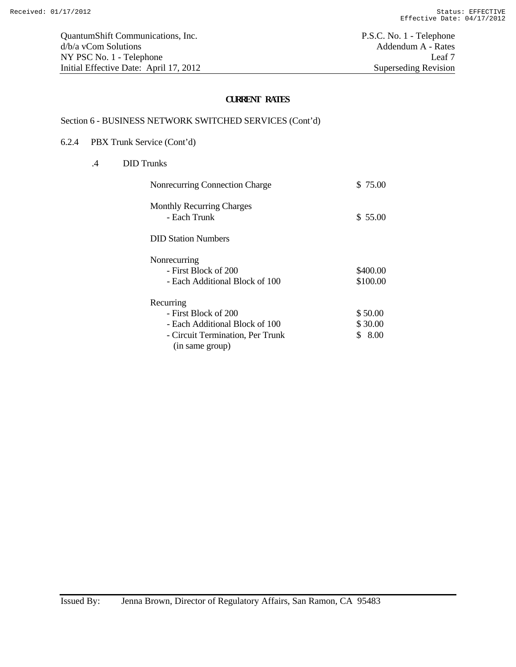# Section 6 - BUSINESS NETWORK SWITCHED SERVICES (Cont'd)

#### 6.2.4 PBX Trunk Service (Cont'd)

.4 DID Trunks

| Nonrecurring Connection Charge                                         | \$75.00              |
|------------------------------------------------------------------------|----------------------|
| <b>Monthly Recurring Charges</b><br>- Each Trunk                       | \$55.00              |
| <b>DID Station Numbers</b>                                             |                      |
| Nonrecurring<br>- First Block of 200<br>- Each Additional Block of 100 | \$400.00<br>\$100.00 |
| Recurring                                                              |                      |
| - First Block of 200                                                   | \$50.00              |
| - Each Additional Block of 100                                         | \$30.00              |
| - Circuit Termination, Per Trunk<br>(in same group)                    | \$8.00               |